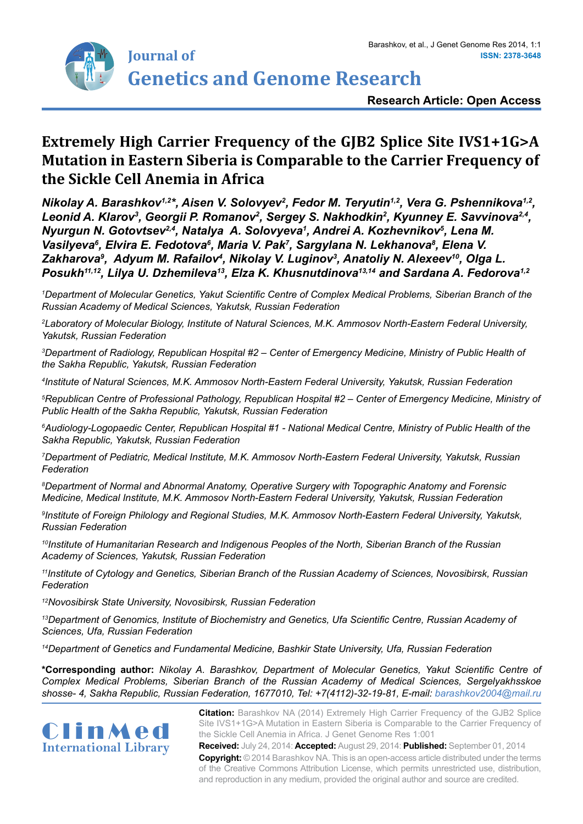

# **Extremely High Carrier Frequency of the GJB2 Splice Site IVS1+1G>A Mutation in Eastern Siberia is Comparable to the Carrier Frequency of the Sickle Cell Anemia in Africa**

*Nikolay A. Barashkov1,2\*, Aisen V. Solovyev2 , Fedor M. Teryutin1,2, Vera G. Pshennikova1,2,*  Leonid A. Klarov<sup>3</sup>, Georgii P. Romanov<sup>2</sup>, Sergey S. Nakhodkin<sup>2</sup>, Kyunney E. Savvinova<sup>2,4</sup>, *Nyurgun N. Gotovtsev* $^{2,4}$ *, Natalya A. Solovyeva<sup>1</sup>, Andrei A. Kozhevnikov* $^{5}$ *, Lena M.* Vasilyeva<sup>6</sup>, Elvira E. Fedotova<sup>6</sup>, Maria V. Pak<sup>7</sup>, Sargylana N. Lekhanova<sup>8</sup>, Elena V. Zakharova<sup>9</sup>, Adyum M. Rafailov<sup>4</sup>, Nikolay V. Luginov<sup>3</sup>, Anatoliy N. Alexeev<sup>10</sup>, Olga L. *Posukh11,12, Lilya U. Dzhemileva13, Elza K. Khusnutdinova13,14 and Sardana A. Fedorova1,2*

*1 Department of Molecular Genetics, Yakut Scientific Centre of Complex Medical Problems, Siberian Branch of the Russian Academy of Medical Sciences, Yakutsk, Russian Federation*

*2 Laboratory of Molecular Biology, Institute of Natural Sciences, M.K. Ammosov North-Eastern Federal University, Yakutsk, Russian Federation*

*3 Department of Radiology, Republican Hospital #2 – Center of Emergency Medicine, Ministry of Public Health of the Sakha Republic, Yakutsk, Russian Federation*

*4 Institute of Natural Sciences, M.K. Ammosov North-Eastern Federal University, Yakutsk, Russian Federation*

*5 Republican Centre of Professional Pathology, Republican Hospital #2 – Center of Emergency Medicine, Ministry of Public Health of the Sakha Republic, Yakutsk, Russian Federation*

*6 Audiology-Logopaedic Center, Republican Hospital #1 - National Medical Centre, Ministry of Public Health of the Sakha Republic, Yakutsk, Russian Federation*

*7 Department of Pediatric, Medical Institute, M.K. Ammosov North-Eastern Federal University, Yakutsk, Russian Federation*

*8 Department of Normal and Abnormal Anatomy, Operative Surgery with Topographic Anatomy and Forensic Medicine, Medical Institute, M.K. Ammosov North-Eastern Federal University, Yakutsk, Russian Federation*

*9 Institute of Foreign Philology and Regional Studies, M.K. Ammosov North-Eastern Federal University, Yakutsk, Russian Federation*

*<sup>10</sup>Institute of Humanitarian Research and Indigenous Peoples of the North, Siberian Branch of the Russian Academy of Sciences, Yakutsk, Russian Federation*

*<sup>11</sup>Institute of Cytology and Genetics, Siberian Branch of the Russian Academy of Sciences, Novosibirsk, Russian Federation*

*<sup>12</sup>Novosibirsk State University, Novosibirsk, Russian Federation*

*<sup>13</sup>Department of Genomics, Institute of Biochemistry and Genetics, Ufa Scientific Centre, Russian Academy of Sciences, Ufa, Russian Federation*

*<sup>14</sup>Department of Genetics and Fundamental Medicine, Bashkir State University, Ufa, Russian Federation*

**\*Corresponding author:** *Nikolay A. Barashkov, Department of Molecular Genetics, Yakut Scientific Centre of Complex Medical Problems, Siberian Branch of the Russian Academy of Medical Sciences, Sergelyakhsskoe shosse- 4, Sakha Republic, Russian Federation, 1677010, Tel: +7(4112)-32-19-81, E-mail: barashkov2004@mail.ru*



**Citation:** Barashkov NA (2014) Extremely High Carrier Frequency of the GJB2 Splice Site IVS1+1G>A Mutation in Eastern Siberia is Comparable to the Carrier Frequency of the Sickle Cell Anemia in Africa. J Genet Genome Res 1:001

**Received:** July 24, 2014: **Accepted:** August 29, 2014: **Published:** September 01, 2014 **Copyright:** © 2014 Barashkov NA. This is an open-access article distributed under the terms of the Creative Commons Attribution License, which permits unrestricted use, distribution, and reproduction in any medium, provided the original author and source are credited.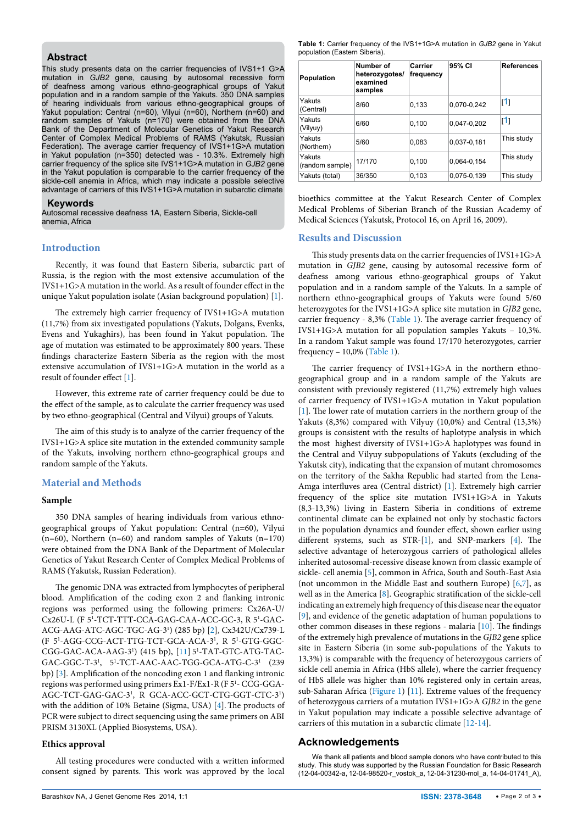#### **Abstract**

This study presents data on the carrier frequencies of IVS1+1 G>A mutation in *GJB2* gene, causing by autosomal recessive form of deafness among various ethno-geographical groups of Yakut population and in a random sample of the Yakuts. 350 DNA samples of hearing individuals from various ethno-geographical groups of Yakut population: Central (n=60), Vilyui (n=60), Northern (n=60) and random samples of Yakuts (n=170) were obtained from the DNA Bank of the Department of Molecular Genetics of Yakut Research Center of Complex Medical Problems of RAMS (Yakutsk, Russian Federation). The average carrier frequency of IVS1+1G>A mutation in Yakut population (n=350) detected was - 10.3%. Extremely high carrier frequency of the splice site IVS1+1G>A mutation in *GJB2* gene in the Yakut population is comparable to the carrier frequency of the sickle-cell anemia in Africa, which may indicate a possible selective advantage of carriers of this IVS1+1G>A mutation in subarctic climate

#### **Keywords**

Autosomal recessive deafness 1A, Eastern Siberia, Sickle-cell anemia, Africa

#### **Introduction**

Recently, it was found that Eastern Siberia, subarctic part of Russia, is the region with the most extensive accumulation of the IVS1+1G>A mutation in the world. As a result of founder effect in the unique Yakut population isolate (Asian background population) [[1](#page-2-0)].

The extremely high carrier frequency of IVS1+1G>A mutation (11,7%) from six investigated populations (Yakuts, Dolgans, Evenks, Evens and Yukaghirs), has been found in Yakut population. The age of mutation was estimated to be approximately 800 years. These findings characterize Eastern Siberia as the region with the most extensive accumulation of IVS1+1G>A mutation in the world as a result of founder effect [\[1\]](#page-2-0).

However, this extreme rate of carrier frequency could be due to the effect of the sample, as to calculate the carrier frequency was used by two ethno-geographical (Central and Vilyui) groups of Yakuts.

The aim of this study is to analyze of the carrier frequency of the IVS1+1G>A splice site mutation in the extended community sample of the Yakuts, involving northern ethno-geographical groups and random sample of the Yakuts.

# **Material and Methods**

# **Sample**

350 DNA samples of hearing individuals from various ethnogeographical groups of Yakut population: Central (n=60), Vilyui (n=60), Northern (n=60) and random samples of Yakuts (n=170) were obtained from the DNA Bank of the Department of Molecular Genetics of Yakut Research Center of Complex Medical Problems of RAMS (Yakutsk, Russian Federation).

The genomic DNA was extracted from lymphocytes of peripheral blood. Amplification of the coding exon 2 and flanking intronic regions was performed using the following primers: Сx26A-U/ Cx26U-L (F 51 -TCT-TTT-CCA-GAG-CAA-ACC-GC-3, R 51 -GAC-ACG-AAG-ATC-AGC-TGC-AG-31 ) (285 bp) [[2](#page-2-1)], Cx342U/Cx739-L (F 51 -AGG-CCG-ACT-TTG-TCT-GCA-ACA-31 , R 51 -GTG-GGC-CGG-GAC-ACA-AAG-3<sup>1</sup>) (415 bp), [[11\]](#page-2-2) 5<sup>1</sup>-TAT-GTC-ATG-TAC-GAC-GGC-T-31 , 51 -TCT-AAC-AAC-TGG-GCA-ATG-C-31 (239 bp) [\[3](#page-2-3)]. Amplification of the noncoding exon 1 and flanking intronic regions was performed using primers Ex1-F/Ex1-R (F 51 - CCG-GGA-AGC-TCT-GAG-GAC-31 , R GCA-ACC-GCT-CTG-GGT-CTC-31 ) with the addition of 10% Betaine (Sigma, USA) [[4\]](#page-2-4). The products of PCR were subject to direct sequencing using the same primers on ABI PRISM 3130XL (Applied Biosystems, USA).

#### **Ethics approval**

All testing procedures were conducted with a written informed consent signed by parents. This work was approved by the local <span id="page-1-0"></span>**Table 1:** Carrier frequency of the IVS1+1G>A mutation in *GJB2* gene in Yakut population (Eastern Siberia).

| <b>Population</b>         | Number of<br>heterozygotes/<br>examined<br>samples | Carrier<br>frequency | 95% CI      | <b>References</b> |
|---------------------------|----------------------------------------------------|----------------------|-------------|-------------------|
| Yakuts<br>(Central)       | 8/60                                               | 0,133                | 0,070-0,242 | 11                |
| Yakuts<br>(Vilyuy)        | 6/60                                               | 0,100                | 0.047-0.202 | 11                |
| Yakuts<br>(Northern)      | 5/60                                               | 0.083                | 0.037-0.181 | This study        |
| Yakuts<br>(random sample) | 17/170                                             | 0.100                | 0.064-0.154 | This study        |
| Yakuts (total)            | 36/350                                             | 0,103                | 0,075-0,139 | This study        |

bioethics committee at the Yakut Research Center of Complex Medical Problems of Siberian Branch of the Russian Academy of Medical Sciences (Yakutsk, Protocol 16, on April 16, 2009).

#### **Results and Discussion**

This study presents data on the carrier frequencies of IVS1+1G>A mutation in *GJB2* gene, causing by autosomal recessive form of deafness among various ethno-geographical groups of Yakut population and in a random sample of the Yakuts. In a sample of northern ethno-geographical groups of Yakuts were found 5/60 heterozygotes for the IVS1+1G>A splice site mutation in *GJB2* gene, carrier frequency - 8,3% [\(Table 1](#page-1-0)). The average carrier frequency of IVS1+1G>A mutation for all population samples Yakuts – 10,3%. In a random Yakut sample was found 17/170 heterozygotes, carrier frequency  $-10,0\%$  [\(Table 1\)](#page-1-0).

The carrier frequency of IVS1+1G>A in the northern ethnogeographical group and in a random sample of the Yakuts are consistent with previously registered (11,7%) extremely high values of carrier frequency of IVS1+1G>A mutation in Yakut population [[1](#page-2-0)]. The lower rate of mutation carriers in the northern group of the Yakuts (8,3%) compared with Vilyuy (10,0%) and Central (13,3%) groups is consistent with the results of haplotype analysis in which the most highest diversity of IVS1+1G>A haplotypes was found in the Central and Vilyuy subpopulations of Yakuts (excluding of the Yakutsk city), indicating that the expansion of mutant chromosomes on the territory of the Sakha Republic had started from the Lena-Amga interfluves area (Central district) [[1](#page-2-0)]. Extremely high carrier frequency of the splice site mutation IVS1+1G>A in Yakuts (8,3-13,3%) living in Eastern Siberia in conditions of extreme continental climate can be explained not only by stochastic factors in the population dynamics and founder effect, shown earlier using different systems, such as STR-[\[1](#page-2-0)], and SNP-markers [\[4\]](#page-2-4). The selective advantage of heterozygous carriers of pathological alleles inherited autosomal-recessive disease known from classic example of sickle- cell anemia [\[5\]](#page-2-5), common in Africa, South and South-East Asia (not uncommon in the Middle East and southern Europe) [[6](#page-2-6)[,7](#page-2-7)], as well as in the America [\[8\]](#page-2-8). Geographic stratification of the sickle-cell indicating an extremely high frequency of this disease near the equator [[9](#page-2-9)], and evidence of the genetic adaptation of human populations to other common diseases in these regions - malaria [\[10\]](#page-2-10). The findings of the extremely high prevalence of mutations in the *GJB2* gene splice site in Eastern Siberia (in some sub-populations of the Yakuts to 13,3%) is comparable with the frequency of heterozygous carriers of sickle cell anemia in Africa (HbS allele), where the carrier frequency of HbS allele was higher than 10% registered only in certain areas, sub-Saharan Africa [\(Figure 1](#page-2-11)) [\[11\]](#page-2-2). Extreme values of the frequency of heterozygous carriers of a mutation IVS1+1G>A *GJB2* in the gene in Yakut population may indicate a possible selective advantage of carriers of this mutation in a subarctic climate [[12-](#page-2-12)[14](#page-2-13)].

# **Acknowledgements**

We thank all patients and blood sample donors who have contributed to this study. This study was supported by the Russian Foundation for Basic Research (12-04-00342-а, 12-04-98520-r\_vostok\_a, 12-04-31230-mol\_a, 14-04-01741\_A),